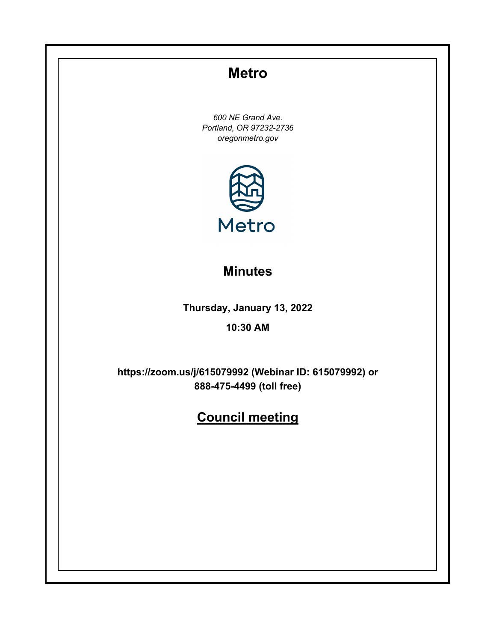# **Metro**

*600 NE Grand Ave. Portland, OR 97232-2736 oregonmetro.gov*



# **Minutes**

**Thursday, January 13, 2022**

## **10:30 AM**

**https://zoom.us/j/615079992 (Webinar ID: 615079992) or 888-475-4499 (toll free)**

# **Council meeting**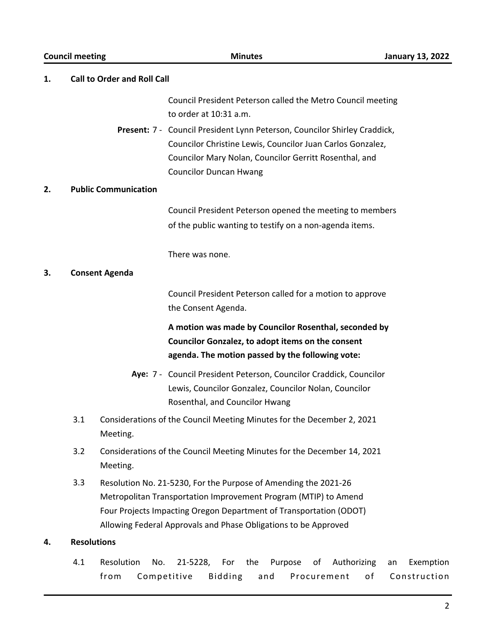|    | <b>Council meeting</b> | <b>Minutes</b>                                                                                                                                                                                                                                                              | <b>January 13, 2022</b>               |  |  |  |
|----|------------------------|-----------------------------------------------------------------------------------------------------------------------------------------------------------------------------------------------------------------------------------------------------------------------------|---------------------------------------|--|--|--|
| 1. |                        | <b>Call to Order and Roll Call</b>                                                                                                                                                                                                                                          |                                       |  |  |  |
|    |                        | Council President Peterson called the Metro Council meeting<br>to order at 10:31 a.m.                                                                                                                                                                                       |                                       |  |  |  |
|    |                        | Present: 7 - Council President Lynn Peterson, Councilor Shirley Craddick,<br>Councilor Christine Lewis, Councilor Juan Carlos Gonzalez,<br>Councilor Mary Nolan, Councilor Gerritt Rosenthal, and<br><b>Councilor Duncan Hwang</b>                                          |                                       |  |  |  |
| 2. |                        | <b>Public Communication</b>                                                                                                                                                                                                                                                 |                                       |  |  |  |
|    |                        | Council President Peterson opened the meeting to members<br>of the public wanting to testify on a non-agenda items.                                                                                                                                                         |                                       |  |  |  |
|    |                        | There was none.                                                                                                                                                                                                                                                             |                                       |  |  |  |
| 3. |                        | <b>Consent Agenda</b>                                                                                                                                                                                                                                                       |                                       |  |  |  |
|    |                        | Council President Peterson called for a motion to approve<br>the Consent Agenda.                                                                                                                                                                                            |                                       |  |  |  |
|    |                        | A motion was made by Councilor Rosenthal, seconded by<br>Councilor Gonzalez, to adopt items on the consent<br>agenda. The motion passed by the following vote:                                                                                                              |                                       |  |  |  |
|    |                        | Aye: 7 - Council President Peterson, Councilor Craddick, Councilor<br>Lewis, Councilor Gonzalez, Councilor Nolan, Councilor<br>Rosenthal, and Councilor Hwang                                                                                                               |                                       |  |  |  |
|    | 3.1                    | Considerations of the Council Meeting Minutes for the December 2, 2021<br>Meeting.                                                                                                                                                                                          |                                       |  |  |  |
|    | 3.2                    | Considerations of the Council Meeting Minutes for the December 14, 2021<br>Meeting.                                                                                                                                                                                         |                                       |  |  |  |
|    | 3.3                    | Resolution No. 21-5230, For the Purpose of Amending the 2021-26<br>Metropolitan Transportation Improvement Program (MTIP) to Amend<br>Four Projects Impacting Oregon Department of Transportation (ODOT)<br>Allowing Federal Approvals and Phase Obligations to be Approved |                                       |  |  |  |
| 4. |                        | <b>Resolutions</b>                                                                                                                                                                                                                                                          |                                       |  |  |  |
|    | 4.1                    | Resolution<br>21-5228,<br>the<br>Authorizing<br>No.<br>For<br>Purpose<br>οf<br>Competitive<br>from<br><b>Bidding</b><br>Procurement<br>and                                                                                                                                  | Exemption<br>an<br>of<br>Construction |  |  |  |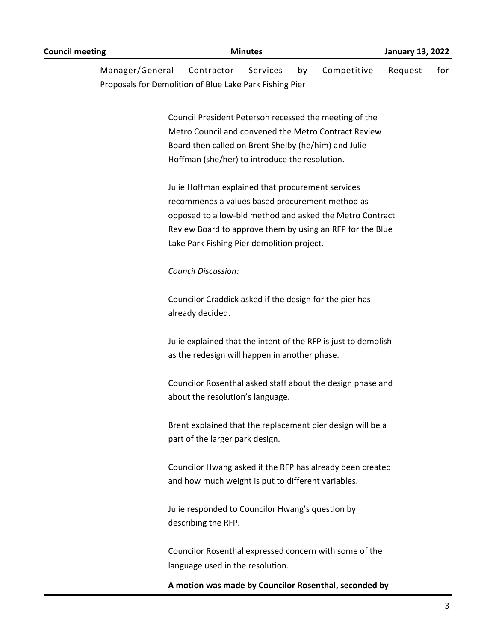| Manager/General<br>Proposals for Demolition of Blue Lake Park Fishing Pier | Contractor                                                                                                                                         | Services | by | Competitive                                                                                                           | Request | for |
|----------------------------------------------------------------------------|----------------------------------------------------------------------------------------------------------------------------------------------------|----------|----|-----------------------------------------------------------------------------------------------------------------------|---------|-----|
|                                                                            | Board then called on Brent Shelby (he/him) and Julie<br>Hoffman (she/her) to introduce the resolution.                                             |          |    | Council President Peterson recessed the meeting of the<br>Metro Council and convened the Metro Contract Review        |         |     |
|                                                                            | Julie Hoffman explained that procurement services<br>recommends a values based procurement method as<br>Lake Park Fishing Pier demolition project. |          |    | opposed to a low-bid method and asked the Metro Contract<br>Review Board to approve them by using an RFP for the Blue |         |     |
|                                                                            | <b>Council Discussion:</b>                                                                                                                         |          |    |                                                                                                                       |         |     |
|                                                                            | Councilor Craddick asked if the design for the pier has<br>already decided.                                                                        |          |    |                                                                                                                       |         |     |
|                                                                            | as the redesign will happen in another phase.                                                                                                      |          |    | Julie explained that the intent of the RFP is just to demolish                                                        |         |     |
|                                                                            | about the resolution's language.                                                                                                                   |          |    | Councilor Rosenthal asked staff about the design phase and                                                            |         |     |
|                                                                            | part of the larger park design.                                                                                                                    |          |    | Brent explained that the replacement pier design will be a                                                            |         |     |
|                                                                            | and how much weight is put to different variables.                                                                                                 |          |    | Councilor Hwang asked if the RFP has already been created                                                             |         |     |
|                                                                            | Julie responded to Councilor Hwang's question by<br>describing the RFP.                                                                            |          |    |                                                                                                                       |         |     |
|                                                                            | language used in the resolution.                                                                                                                   |          |    | Councilor Rosenthal expressed concern with some of the                                                                |         |     |
|                                                                            |                                                                                                                                                    |          |    | A motion was made by Councilor Rosenthal, seconded by                                                                 |         |     |

**Council meeting Minutes January 13, 2022**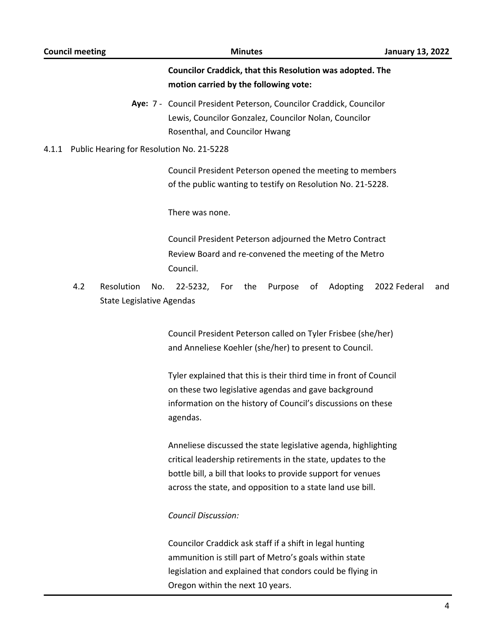# **Councilor Craddick, that this Resolution was adopted. The motion carried by the following vote:** Aye: 7 - Council President Peterson, Councilor Craddick, Councilor Lewis, Councilor Gonzalez, Councilor Nolan, Councilor Rosenthal, and Councilor Hwang 4.1.1 Public Hearing for Resolution No. 21-5228 Council President Peterson opened the meeting to members of the public wanting to testify on Resolution No. 21-5228. There was none. Council President Peterson adjourned the Metro Contract Review Board and re-convened the meeting of the Metro Council. 4.2 Resolution No. 22-5232, For the Purpose of Adopting 2022 Federal and State Legislative Agendas Council President Peterson called on Tyler Frisbee (she/her) and Anneliese Koehler (she/her) to present to Council. Tyler explained that this is their third time in front of Council on these two legislative agendas and gave background information on the history of Council's discussions on these agendas. Anneliese discussed the state legislative agenda, highlighting critical leadership retirements in the state, updates to the bottle bill, a bill that looks to provide support for venues across the state, and opposition to a state land use bill. *Council Discussion:*

Councilor Craddick ask staff if a shift in legal hunting ammunition is still part of Metro's goals within state legislation and explained that condors could be flying in Oregon within the next 10 years.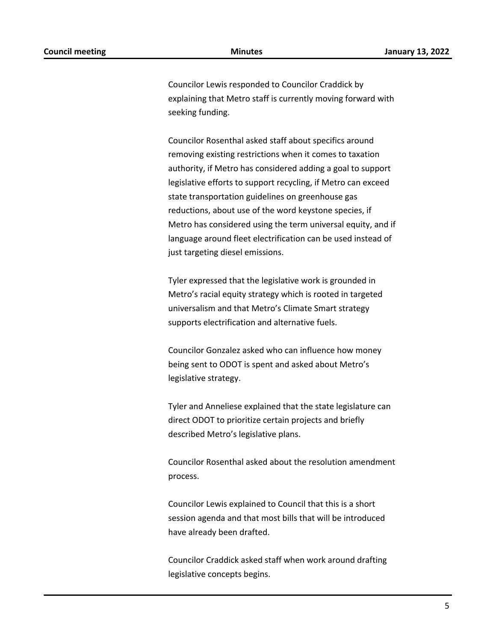Councilor Lewis responded to Councilor Craddick by explaining that Metro staff is currently moving forward with seeking funding.

Councilor Rosenthal asked staff about specifics around removing existing restrictions when it comes to taxation authority, if Metro has considered adding a goal to support legislative efforts to support recycling, if Metro can exceed state transportation guidelines on greenhouse gas reductions, about use of the word keystone species, if Metro has considered using the term universal equity, and if language around fleet electrification can be used instead of just targeting diesel emissions.

Tyler expressed that the legislative work is grounded in Metro's racial equity strategy which is rooted in targeted universalism and that Metro's Climate Smart strategy supports electrification and alternative fuels.

Councilor Gonzalez asked who can influence how money being sent to ODOT is spent and asked about Metro's legislative strategy.

Tyler and Anneliese explained that the state legislature can direct ODOT to prioritize certain projects and briefly described Metro's legislative plans.

Councilor Rosenthal asked about the resolution amendment process.

Councilor Lewis explained to Council that this is a short session agenda and that most bills that will be introduced have already been drafted.

Councilor Craddick asked staff when work around drafting legislative concepts begins.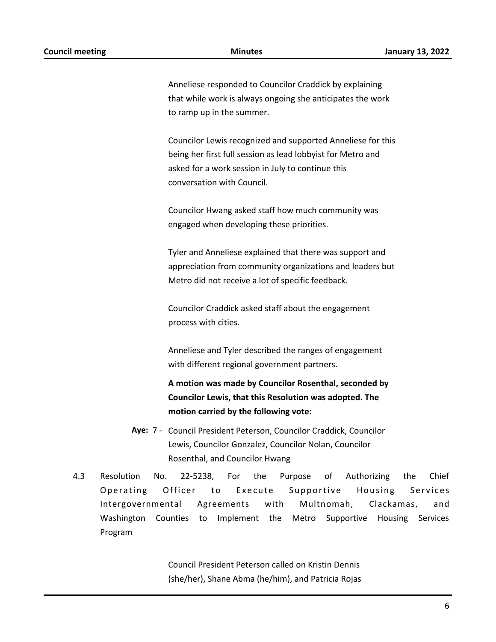Anneliese responded to Councilor Craddick by explaining that while work is always ongoing she anticipates the work to ramp up in the summer.

Councilor Lewis recognized and supported Anneliese for this being her first full session as lead lobbyist for Metro and asked for a work session in July to continue this conversation with Council.

Councilor Hwang asked staff how much community was engaged when developing these priorities.

Tyler and Anneliese explained that there was support and appreciation from community organizations and leaders but Metro did not receive a lot of specific feedback.

Councilor Craddick asked staff about the engagement process with cities.

Anneliese and Tyler described the ranges of engagement with different regional government partners.

**A motion was made by Councilor Rosenthal, seconded by Councilor Lewis, that this Resolution was adopted. The motion carried by the following vote:**

- Aye: 7 Council President Peterson, Councilor Craddick, Councilor Lewis, Councilor Gonzalez, Councilor Nolan, Councilor Rosenthal, and Councilor Hwang
- 4.3 Resolution No. 22-5238, For the Purpose of Authorizing the Chief Operating Officer to Execute Supportive Housing Services Intergovernmental Agreements with Multnomah, Clackamas, and Washington Counties to Implement the Metro Supportive Housing Services Program

Council President Peterson called on Kristin Dennis (she/her), Shane Abma (he/him), and Patricia Rojas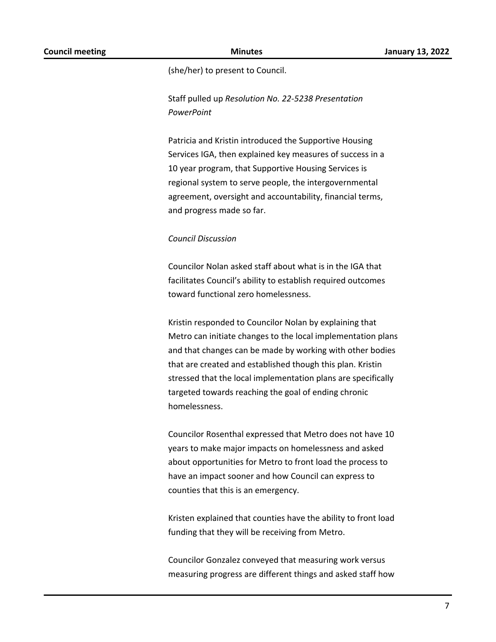(she/her) to present to Council.

Staff pulled up *Resolution No. 22-5238 Presentation PowerPoint*

Patricia and Kristin introduced the Supportive Housing Services IGA, then explained key measures of success in a 10 year program, that Supportive Housing Services is regional system to serve people, the intergovernmental agreement, oversight and accountability, financial terms, and progress made so far.

#### *Council Discussion*

Councilor Nolan asked staff about what is in the IGA that facilitates Council's ability to establish required outcomes toward functional zero homelessness.

Kristin responded to Councilor Nolan by explaining that Metro can initiate changes to the local implementation plans and that changes can be made by working with other bodies that are created and established though this plan. Kristin stressed that the local implementation plans are specifically targeted towards reaching the goal of ending chronic homelessness.

Councilor Rosenthal expressed that Metro does not have 10 years to make major impacts on homelessness and asked about opportunities for Metro to front load the process to have an impact sooner and how Council can express to counties that this is an emergency.

Kristen explained that counties have the ability to front load funding that they will be receiving from Metro.

Councilor Gonzalez conveyed that measuring work versus measuring progress are different things and asked staff how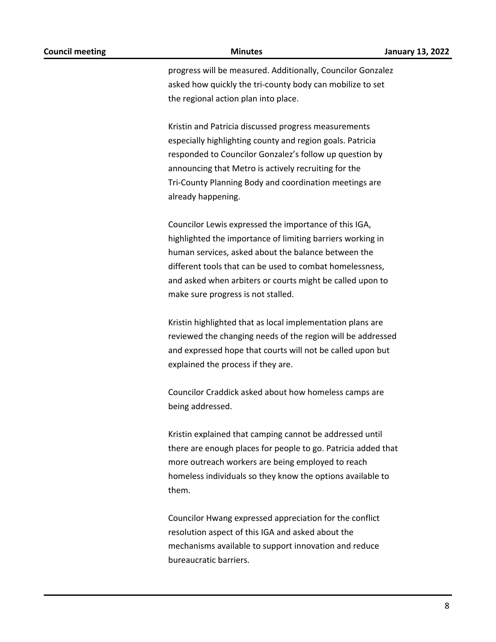progress will be measured. Additionally, Councilor Gonzalez asked how quickly the tri-county body can mobilize to set the regional action plan into place.

Kristin and Patricia discussed progress measurements especially highlighting county and region goals. Patricia responded to Councilor Gonzalez's follow up question by announcing that Metro is actively recruiting for the Tri-County Planning Body and coordination meetings are already happening.

Councilor Lewis expressed the importance of this IGA, highlighted the importance of limiting barriers working in human services, asked about the balance between the different tools that can be used to combat homelessness, and asked when arbiters or courts might be called upon to make sure progress is not stalled.

Kristin highlighted that as local implementation plans are reviewed the changing needs of the region will be addressed and expressed hope that courts will not be called upon but explained the process if they are.

Councilor Craddick asked about how homeless camps are being addressed.

Kristin explained that camping cannot be addressed until there are enough places for people to go. Patricia added that more outreach workers are being employed to reach homeless individuals so they know the options available to them.

Councilor Hwang expressed appreciation for the conflict resolution aspect of this IGA and asked about the mechanisms available to support innovation and reduce bureaucratic barriers.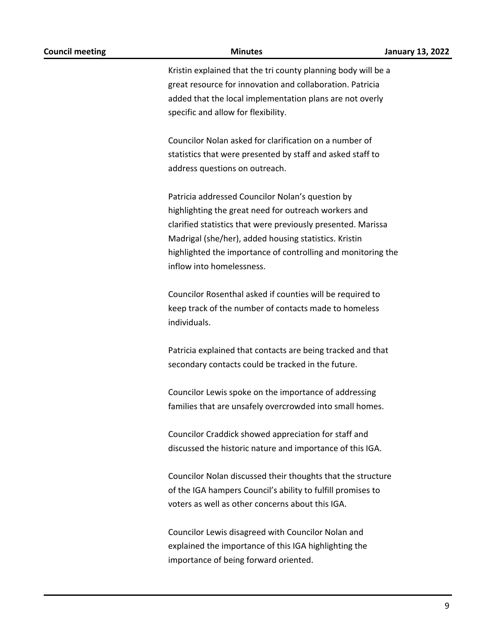| <b>Council meeting</b> | <b>Minutes</b>                                                                            | <b>January 13, 2022</b> |
|------------------------|-------------------------------------------------------------------------------------------|-------------------------|
|                        | Kristin explained that the tri county planning body will be a                             |                         |
|                        | great resource for innovation and collaboration. Patricia                                 |                         |
|                        | added that the local implementation plans are not overly                                  |                         |
|                        | specific and allow for flexibility.                                                       |                         |
|                        | Councilor Nolan asked for clarification on a number of                                    |                         |
|                        | statistics that were presented by staff and asked staff to                                |                         |
|                        | address questions on outreach.                                                            |                         |
|                        | Patricia addressed Councilor Nolan's question by                                          |                         |
|                        | highlighting the great need for outreach workers and                                      |                         |
|                        | clarified statistics that were previously presented. Marissa                              |                         |
|                        | Madrigal (she/her), added housing statistics. Kristin                                     |                         |
|                        | highlighted the importance of controlling and monitoring the<br>inflow into homelessness. |                         |
|                        | Councilor Rosenthal asked if counties will be required to                                 |                         |
|                        | keep track of the number of contacts made to homeless<br>individuals.                     |                         |
|                        | Patricia explained that contacts are being tracked and that                               |                         |
|                        | secondary contacts could be tracked in the future.                                        |                         |
|                        | Councilor Lewis spoke on the importance of addressing                                     |                         |
|                        | families that are unsafely overcrowded into small homes.                                  |                         |
|                        | Councilor Craddick showed appreciation for staff and                                      |                         |
|                        | discussed the historic nature and importance of this IGA.                                 |                         |
|                        | Councilor Nolan discussed their thoughts that the structure                               |                         |
|                        | of the IGA hampers Council's ability to fulfill promises to                               |                         |
|                        | voters as well as other concerns about this IGA.                                          |                         |
|                        | Councilor Lewis disagreed with Councilor Nolan and                                        |                         |
|                        | explained the importance of this IGA highlighting the                                     |                         |
|                        | importance of being forward oriented.                                                     |                         |
|                        |                                                                                           |                         |

9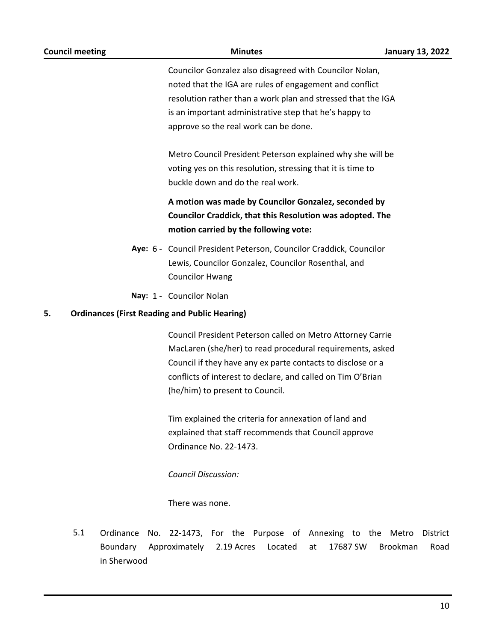| <b>Council meeting</b>                                     | <b>Minutes</b>                                                                                                                                                                                                                                                                           | <b>January 13, 2022</b>             |
|------------------------------------------------------------|------------------------------------------------------------------------------------------------------------------------------------------------------------------------------------------------------------------------------------------------------------------------------------------|-------------------------------------|
|                                                            | Councilor Gonzalez also disagreed with Councilor Nolan,<br>noted that the IGA are rules of engagement and conflict<br>resolution rather than a work plan and stressed that the IGA<br>is an important administrative step that he's happy to<br>approve so the real work can be done.    |                                     |
|                                                            | Metro Council President Peterson explained why she will be<br>voting yes on this resolution, stressing that it is time to<br>buckle down and do the real work.                                                                                                                           |                                     |
|                                                            | A motion was made by Councilor Gonzalez, seconded by<br>Councilor Craddick, that this Resolution was adopted. The<br>motion carried by the following vote:                                                                                                                               |                                     |
|                                                            | Aye: 6 - Council President Peterson, Councilor Craddick, Councilor<br>Lewis, Councilor Gonzalez, Councilor Rosenthal, and<br><b>Councilor Hwang</b>                                                                                                                                      |                                     |
|                                                            | Nay: 1 - Councilor Nolan                                                                                                                                                                                                                                                                 |                                     |
| <b>Ordinances (First Reading and Public Hearing)</b><br>5. |                                                                                                                                                                                                                                                                                          |                                     |
|                                                            | Council President Peterson called on Metro Attorney Carrie<br>MacLaren (she/her) to read procedural requirements, asked<br>Council if they have any ex parte contacts to disclose or a<br>conflicts of interest to declare, and called on Tim O'Brian<br>(he/him) to present to Council. |                                     |
|                                                            | Tim explained the criteria for annexation of land and<br>explained that staff recommends that Council approve<br>Ordinance No. 22-1473.                                                                                                                                                  |                                     |
|                                                            | <b>Council Discussion:</b>                                                                                                                                                                                                                                                               |                                     |
|                                                            | There was none.                                                                                                                                                                                                                                                                          |                                     |
| 5.1<br>Ordinance<br>No.<br>Boundary<br>in Sherwood         | 22-1473, For the Purpose of Annexing to the Metro<br>Approximately<br>2.19 Acres<br>Located<br>at<br>17687 SW                                                                                                                                                                            | District<br><b>Brookman</b><br>Road |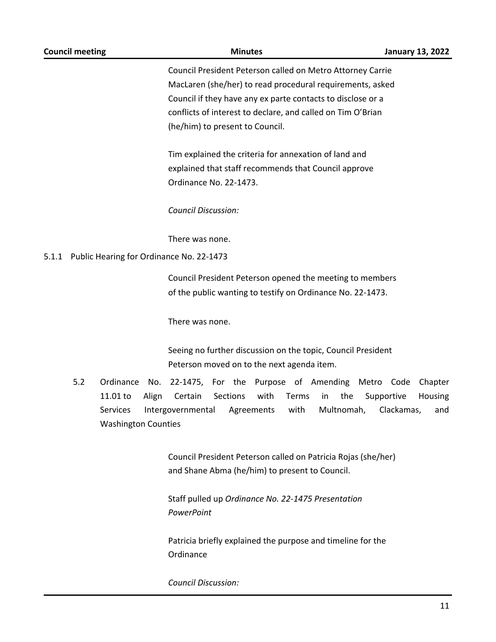| <b>Council meeting</b>  | <b>Minutes</b>                                                   | <b>January 13, 2022</b> |  |  |  |  |
|-------------------------|------------------------------------------------------------------|-------------------------|--|--|--|--|
|                         | Council President Peterson called on Metro Attorney Carrie       |                         |  |  |  |  |
|                         | MacLaren (she/her) to read procedural requirements, asked        |                         |  |  |  |  |
|                         | Council if they have any ex parte contacts to disclose or a      |                         |  |  |  |  |
|                         | conflicts of interest to declare, and called on Tim O'Brian      |                         |  |  |  |  |
|                         | (he/him) to present to Council.                                  |                         |  |  |  |  |
|                         | Tim explained the criteria for annexation of land and            |                         |  |  |  |  |
|                         | explained that staff recommends that Council approve             |                         |  |  |  |  |
|                         | Ordinance No. 22-1473.                                           |                         |  |  |  |  |
|                         | <b>Council Discussion:</b>                                       |                         |  |  |  |  |
|                         | There was none.                                                  |                         |  |  |  |  |
| 5.1.1                   | Public Hearing for Ordinance No. 22-1473                         |                         |  |  |  |  |
|                         | Council President Peterson opened the meeting to members         |                         |  |  |  |  |
|                         | of the public wanting to testify on Ordinance No. 22-1473.       |                         |  |  |  |  |
|                         | There was none.                                                  |                         |  |  |  |  |
|                         | Seeing no further discussion on the topic, Council President     |                         |  |  |  |  |
|                         | Peterson moved on to the next agenda item.                       |                         |  |  |  |  |
| 5.2<br>Ordinance<br>No. | 22-1475, For the Purpose of Amending                             | Metro Code<br>Chapter   |  |  |  |  |
| 11.01 to<br>Align       | Sections<br>Certain<br>with<br>Terms<br>the<br>in                | Supportive<br>Housing   |  |  |  |  |
| Services                | Intergovernmental<br>with<br>Multnomah,<br>Agreements            | Clackamas,<br>and       |  |  |  |  |
|                         | <b>Washington Counties</b>                                       |                         |  |  |  |  |
|                         | Council President Peterson called on Patricia Rojas (she/her)    |                         |  |  |  |  |
|                         | and Shane Abma (he/him) to present to Council.                   |                         |  |  |  |  |
|                         | Staff pulled up Ordinance No. 22-1475 Presentation<br>PowerPoint |                         |  |  |  |  |
|                         |                                                                  |                         |  |  |  |  |

Patricia briefly explained the purpose and timeline for the Ordinance

*Council Discussion:*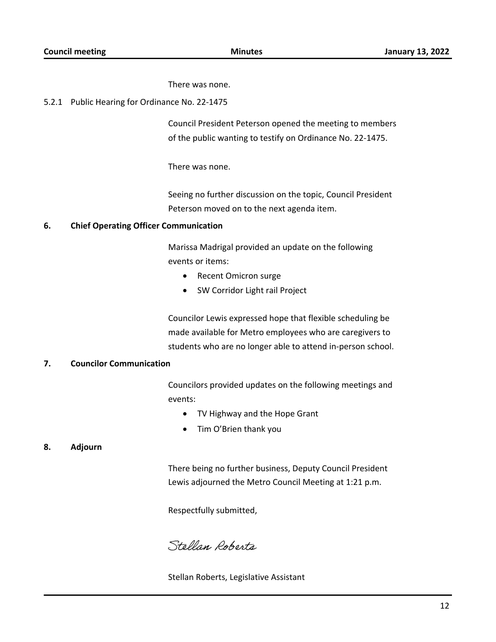There was none.

#### 5.2.1 Public Hearing for Ordinance No. 22-1475

Council President Peterson opened the meeting to members of the public wanting to testify on Ordinance No. 22-1475.

There was none.

Seeing no further discussion on the topic, Council President Peterson moved on to the next agenda item.

#### **6. Chief Operating Officer Communication**

Marissa Madrigal provided an update on the following events or items:

- · Recent Omicron surge
- SW Corridor Light rail Project

Councilor Lewis expressed hope that flexible scheduling be made available for Metro employees who are caregivers to students who are no longer able to attend in-person school.

#### **7. Councilor Communication**

Councilors provided updates on the following meetings and events:

- · TV Highway and the Hope Grant
- · Tim O'Brien thank you

#### **8. Adjourn**

There being no further business, Deputy Council President Lewis adjourned the Metro Council Meeting at 1:21 p.m.

Respectfully submitted,

Stellan Roberts

Stellan Roberts, Legislative Assistant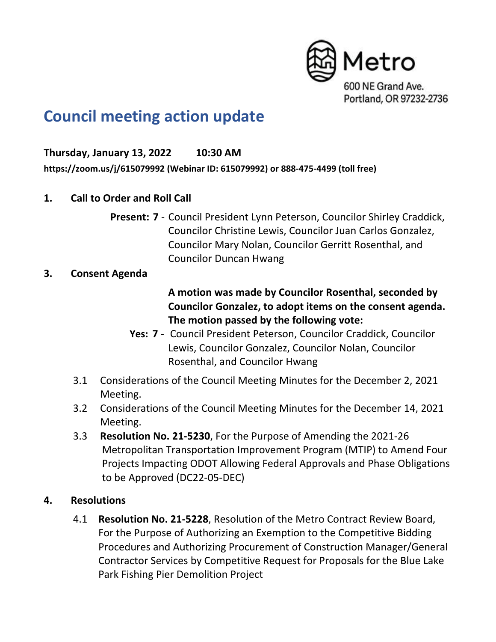

# **Council meeting action update**

## **Thursday, January 13, 2022 10:30 AM**

**https://zoom.us/j/615079992 (Webinar ID: 615079992) or 888-475-4499 (toll free)**

- **1. Call to Order and Roll Call**
	- **Present: 7** Council President Lynn Peterson, Councilor Shirley Craddick, Councilor Christine Lewis, Councilor Juan Carlos Gonzalez, Councilor Mary Nolan, Councilor Gerritt Rosenthal, and Councilor Duncan Hwang

## **3. Consent Agenda**

# **A motion was made by Councilor Rosenthal, seconded by Councilor Gonzalez, to adopt items on the consent agenda. The motion passed by the following vote:**

- **Yes: 7** Council President Peterson, Councilor Craddick, Councilor Lewis, Councilor Gonzalez, Councilor Nolan, Councilor Rosenthal, and Councilor Hwang
- 3.1 Considerations of the Council Meeting Minutes for the December 2, 2021 Meeting.
- 3.2 Considerations of the Council Meeting Minutes for the December 14, 2021 Meeting.
- 3.3 **Resolution No. 21-5230**, For the Purpose of Amending the 2021-26 Metropolitan Transportation Improvement Program (MTIP) to Amend Four Projects Impacting ODOT Allowing Federal Approvals and Phase Obligations to be Approved (DC22-05-DEC)

## **4. Resolutions**

4.1 **Resolution No. 21-5228**, Resolution of the Metro Contract Review Board, For the Purpose of Authorizing an Exemption to the Competitive Bidding Procedures and Authorizing Procurement of Construction Manager/General Contractor Services by Competitive Request for Proposals for the Blue Lake Park Fishing Pier Demolition Project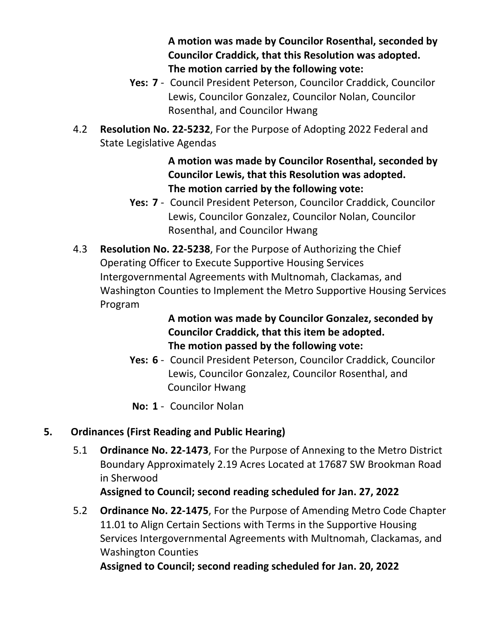**A motion was made by Councilor Rosenthal, seconded by Councilor Craddick, that this Resolution was adopted. The motion carried by the following vote:**

- **Yes: 7** Council President Peterson, Councilor Craddick, Councilor Lewis, Councilor Gonzalez, Councilor Nolan, Councilor Rosenthal, and Councilor Hwang
- 4.2 **Resolution No. 22-5232**, For the Purpose of Adopting 2022 Federal and State Legislative Agendas

# **A motion was made by Councilor Rosenthal, seconded by Councilor Lewis, that this Resolution was adopted. The motion carried by the following vote:**

- **Yes: 7** Council President Peterson, Councilor Craddick, Councilor Lewis, Councilor Gonzalez, Councilor Nolan, Councilor Rosenthal, and Councilor Hwang
- 4.3 **Resolution No. 22-5238**, For the Purpose of Authorizing the Chief Operating Officer to Execute Supportive Housing Services Intergovernmental Agreements with Multnomah, Clackamas, and Washington Counties to Implement the Metro Supportive Housing Services Program

**A motion was made by Councilor Gonzalez, seconded by Councilor Craddick, that this item be adopted. The motion passed by the following vote:**

- **Yes: 6** Council President Peterson, Councilor Craddick, Councilor Lewis, Councilor Gonzalez, Councilor Rosenthal, and Councilor Hwang
- **No: 1** Councilor Nolan

# **5. Ordinances (First Reading and Public Hearing)**

5.1 **Ordinance No. 22-1473**, For the Purpose of Annexing to the Metro District Boundary Approximately 2.19 Acres Located at 17687 SW Brookman Road in Sherwood

**Assigned to Council; second reading scheduled for Jan. 27, 2022**

5.2 **Ordinance No. 22-1475**, For the Purpose of Amending Metro Code Chapter 11.01 to Align Certain Sections with Terms in the Supportive Housing Services Intergovernmental Agreements with Multnomah, Clackamas, and Washington Counties

**Assigned to Council; second reading scheduled for Jan. 20, 2022**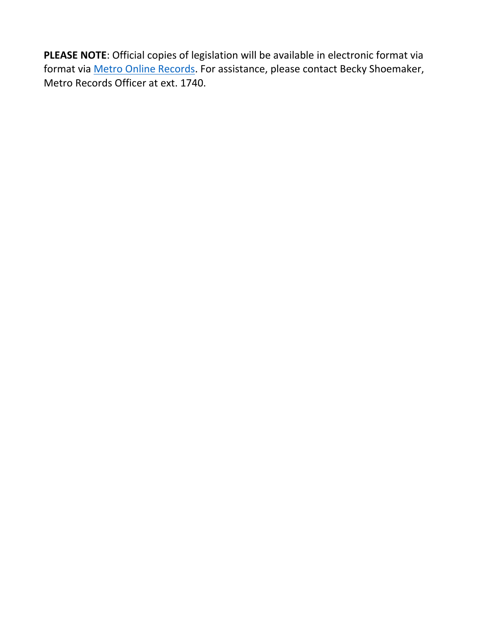**PLEASE NOTE**: Official copies of legislation will be available in electronic format via format via **Metro Online Records**. For assistance, please contact Becky Shoemaker, Metro Records Officer at ext. 1740.